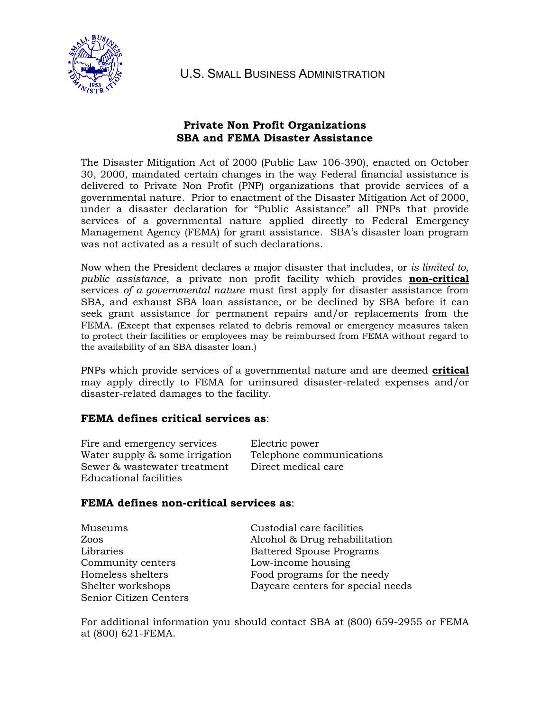

U.S. SMALL BUSINESS ADMINISTRATION

# **Private Non Profit Organizations SBA and FEMA Disaster Assistance**

The Disaster Mitigation Act of 2000 (Public Law 106-390), enacted on October 30, 2000, mandated certain changes in the way Federal financial assistance is delivered to Private Non Profit (PNP) organizations that provide services of a governmental nature. Prior to enactment of the Disaster Mitigation Act of 2000, under a disaster declaration for "Public Assistance" all PNPs that provide services of a governmental nature applied directly to Federal Emergency Management Agency (FEMA) for grant assistance. SBA's disaster loan program was not activated as a result of such declarations.

Now when the President declares a major disaster that includes, or *is limited to, public assistance*, a private non profit facility which provides **non-critical** services *of a governmental nature* must first apply for disaster assistance from SBA, and exhaust SBA loan assistance, or be declined by SBA before it can seek grant assistance for permanent repairs and/or replacements from the FEMA. (Except that expenses related to debris removal or emergency measures taken to protect their facilities or employees may be reimbursed from FEMA without regard to the availability of an SBA disaster loan.)

PNPs which provide services of a governmental nature and are deemed **critical** may apply directly to FEMA for uninsured disaster-related expenses and/or disaster-related damages to the facility.

## **FEMA defines critical services as**:

| Fire and emergency services    | Electric power           |
|--------------------------------|--------------------------|
| Water supply & some irrigation | Telephone communications |
| Sewer & wastewater treatment   | Direct medical care      |
| Educational facilities         |                          |

## **FEMA defines non-critical services as**:

| Museums                | Custodial care facilities         |
|------------------------|-----------------------------------|
| Zoos                   | Alcohol & Drug rehabilitation     |
| Libraries              | <b>Battered Spouse Programs</b>   |
| Community centers      | Low-income housing                |
| Homeless shelters      | Food programs for the needy       |
| Shelter workshops      | Daycare centers for special needs |
| Senior Citizen Centers |                                   |

For additional information you should contact SBA at (800) 659-2955 or FEMA at (800) 621-FEMA.